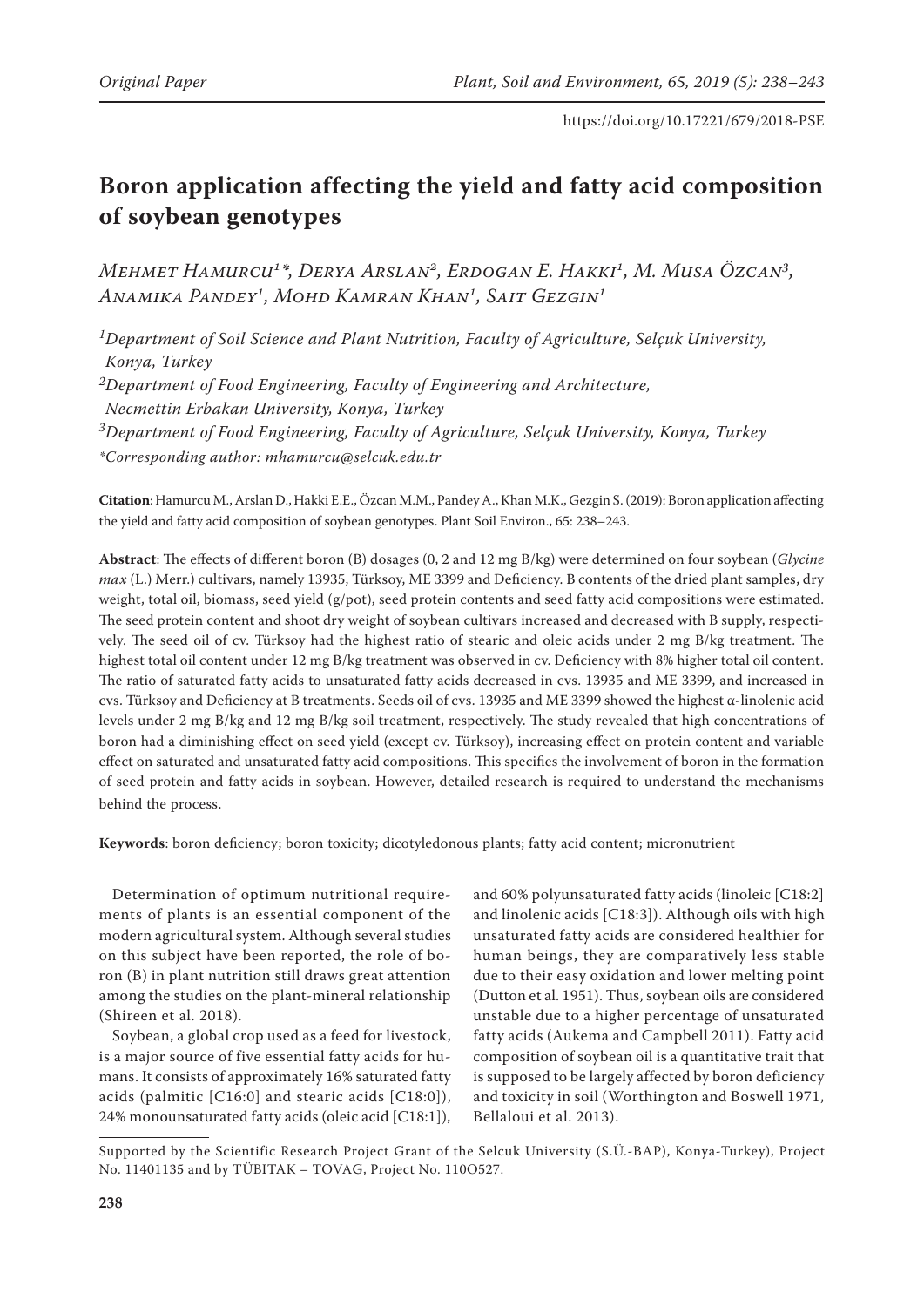# **Boron application affecting the yield and fatty acid composition of soybean genotypes**

*Mehmet Hamurcu1\*, Derya Arslan2, Erdogan E. Hakki1, M. Musa Özcan3, Anamika Pandey1, Mohd Kamran Khan1, Sait Gezgin1*

*1Department of Soil Science and Plant Nutrition, Faculty of Agriculture, Selçuk University, Konya, Turkey*

*2Department of Food Engineering, Faculty of Engineering and Architecture,*

*Necmettin Erbakan University, Konya, Turkey*

*3Department of Food Engineering, Faculty of Agriculture, Selçuk University, Konya, Turkey*

*\*Corresponding author: mhamurcu@selcuk.edu.tr*

**Citation**: Hamurcu M., Arslan D., Hakki E.E., Özcan M.M., Pandey A., Khan M.K., Gezgin S. (2019): Boron application affecting the yield and fatty acid composition of soybean genotypes. Plant Soil Environ., 65: 238–243.

**Abstract**: The effects of different boron (B) dosages (0, 2 and 12 mg B/kg) were determined on four soybean (*Glycine max* (L.) Merr.) cultivars, namely 13935, Türksoy, ME 3399 and Deficiency. B contents of the dried plant samples, dry weight, total oil, biomass, seed yield (g/pot), seed protein contents and seed fatty acid compositions were estimated. The seed protein content and shoot dry weight of soybean cultivars increased and decreased with B supply, respectively. The seed oil of cv. Türksoy had the highest ratio of stearic and oleic acids under 2 mg B/kg treatment. The highest total oil content under 12 mg B/kg treatment was observed in cv. Deficiency with 8% higher total oil content. The ratio of saturated fatty acids to unsaturated fatty acids decreased in cvs. 13935 and ME 3399, and increased in cvs. Türksoy and Deficiency at B treatments. Seeds oil of cvs. 13935 and ME 3399 showed the highest α-linolenic acid levels under 2 mg B/kg and 12 mg B/kg soil treatment, respectively. The study revealed that high concentrations of boron had a diminishing effect on seed yield (except cv. Türksoy), increasing effect on protein content and variable effect on saturated and unsaturated fatty acid compositions. This specifies the involvement of boron in the formation of seed protein and fatty acids in soybean. However, detailed research is required to understand the mechanisms behind the process.

**Keywords**: boron deficiency; boron toxicity; dicotyledonous plants; fatty acid content; micronutrient

Determination of optimum nutritional requirements of plants is an essential component of the modern agricultural system. Although several studies on this subject have been reported, the role of boron (B) in plant nutrition still draws great attention among the studies on the plant-mineral relationship (Shireen et al. 2018).

Soybean, a global crop used as a feed for livestock, is a major source of five essential fatty acids for humans. It consists of approximately 16% saturated fatty acids (palmitic [C16:0] and stearic acids [C18:0]), 24% monounsaturated fatty acids (oleic acid [C18:1]),

and 60% polyunsaturated fatty acids (linoleic [C18:2] and linolenic acids [C18:3]). Although oils with high unsaturated fatty acids are considered healthier for human beings, they are comparatively less stable due to their easy oxidation and lower melting point (Dutton et al. 1951). Thus, soybean oils are considered unstable due to a higher percentage of unsaturated fatty acids (Aukema and Campbell 2011). Fatty acid composition of soybean oil is a quantitative trait that is supposed to be largely affected by boron deficiency and toxicity in soil (Worthington and Boswell 1971, Bellaloui et al. 2013).

Supported by the Scientific Research Project Grant of the Selcuk University (S.Ü.-BAP), Konya-Turkey), Project No. 11401135 and by TÜBITAK – TOVAG, Project No. 110O527.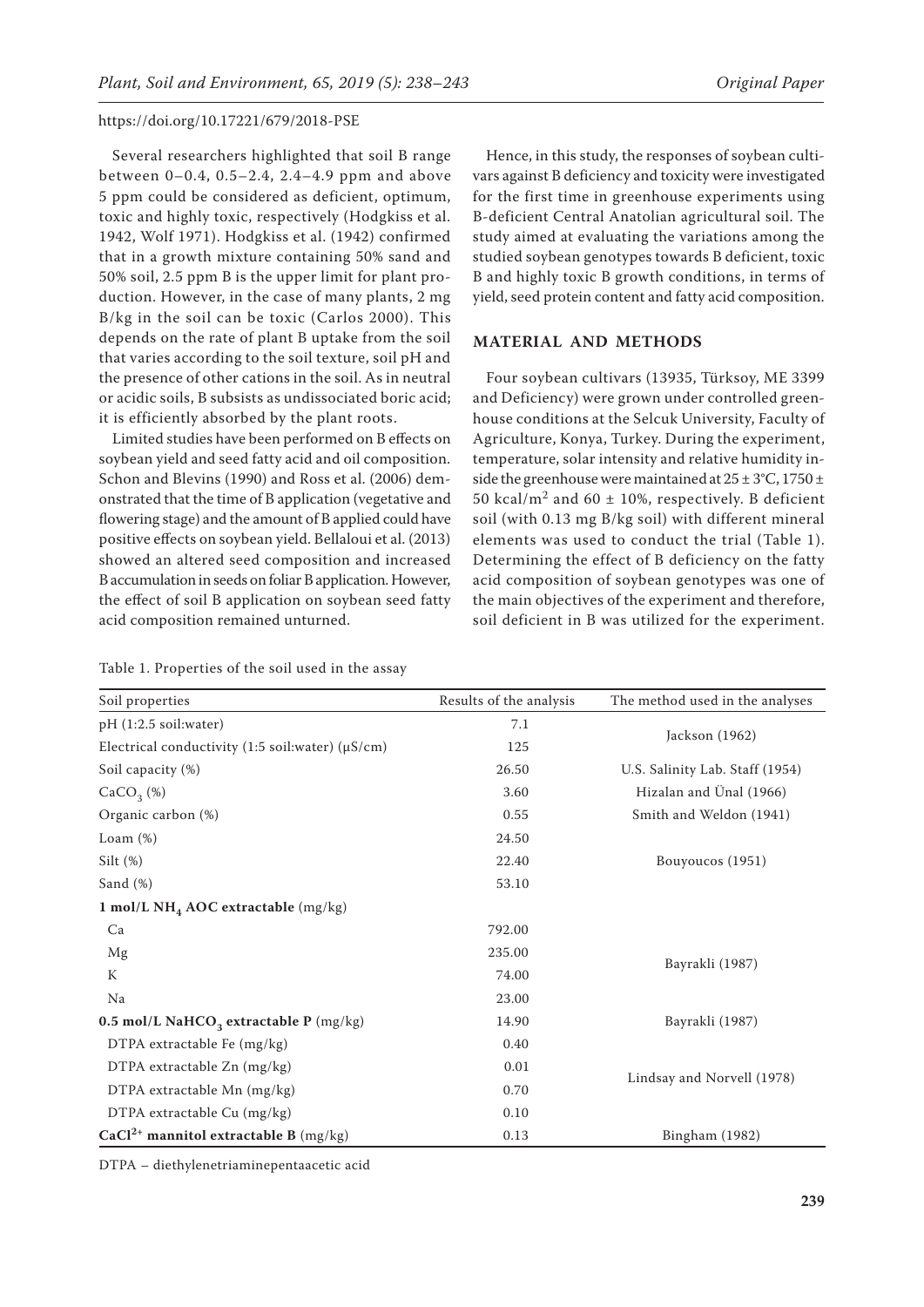Several researchers highlighted that soil B range between 0–0.4, 0.5–2.4, 2.4–4.9 ppm and above 5 ppm could be considered as deficient, optimum, toxic and highly toxic, respectively (Hodgkiss et al. 1942, Wolf 1971). Hodgkiss et al. (1942) confirmed that in a growth mixture containing 50% sand and 50% soil, 2.5 ppm B is the upper limit for plant production. However, in the case of many plants, 2 mg B/kg in the soil can be toxic (Carlos 2000). This depends on the rate of plant B uptake from the soil that varies according to the soil texture, soil pH and the presence of other cations in the soil. As in neutral or acidic soils, B subsists as undissociated boric acid; it is efficiently absorbed by the plant roots.

Limited studies have been performed on B effects on soybean yield and seed fatty acid and oil composition. Schon and Blevins (1990) and Ross et al. (2006) demonstrated that the time of B application (vegetative and flowering stage) and the amount of B applied could have positive effects on soybean yield. Bellaloui et al. (2013) showed an altered seed composition and increased B accumulation in seeds on foliar B application. However, the effect of soil B application on soybean seed fatty acid composition remained unturned.

Hence, in this study, the responses of soybean cultivars against B deficiency and toxicity were investigated for the first time in greenhouse experiments using B-deficient Central Anatolian agricultural soil. The study aimed at evaluating the variations among the studied soybean genotypes towards B deficient, toxic B and highly toxic B growth conditions, in terms of yield, seed protein content and fatty acid composition.

## **MATERIAL AND METHODS**

Four soybean cultivars (13935, Türksoy, ME 3399 and Deficiency) were grown under controlled greenhouse conditions at the Selcuk University, Faculty of Agriculture, Konya, Turkey. During the experiment, temperature, solar intensity and relative humidity inside the greenhouse were maintained at  $25 \pm 3^{\circ}$ C, 1750  $\pm$ 50 kcal/m<sup>2</sup> and 60  $\pm$  10%, respectively. B deficient soil (with 0.13 mg B/kg soil) with different mineral elements was used to conduct the trial (Table 1). Determining the effect of B deficiency on the fatty acid composition of soybean genotypes was one of the main objectives of the experiment and therefore, soil deficient in B was utilized for the experiment.

| Table 1. Properties of the soil used in the assay |  |  |  |  |
|---------------------------------------------------|--|--|--|--|
|---------------------------------------------------|--|--|--|--|

| Soil properties                                        | Results of the analysis | The method used in the analyses |  |
|--------------------------------------------------------|-------------------------|---------------------------------|--|
| pH (1:2.5 soil:water)                                  | 7.1                     | Jackson (1962)                  |  |
| Electrical conductivity (1:5 soil:water) ( $\mu$ S/cm) | 125                     |                                 |  |
| Soil capacity (%)                                      | 26.50                   | U.S. Salinity Lab. Staff (1954) |  |
| CaCO <sub>3</sub> (%)                                  | 3.60                    | Hizalan and Ünal (1966)         |  |
| Organic carbon (%)                                     | 0.55                    | Smith and Weldon (1941)         |  |
| Loam $(\%)$                                            | 24.50                   |                                 |  |
| Silt $(\%)$                                            | 22.40                   | Bouyoucos (1951)                |  |
| Sand $(\%)$                                            | 53.10                   |                                 |  |
| 1 mol/L NH <sub>4</sub> AOC extractable $(mg/kg)$      |                         |                                 |  |
| Ca                                                     | 792.00                  |                                 |  |
| Mg                                                     | 235.00                  | Bayrakli (1987)                 |  |
| K                                                      | 74.00                   |                                 |  |
| Na                                                     | 23.00                   |                                 |  |
| 0.5 mol/L NaHCO <sub>3</sub> extractable P (mg/kg)     | 14.90                   | Bayrakli (1987)                 |  |
| DTPA extractable Fe (mg/kg)                            | 0.40                    |                                 |  |
| DTPA extractable Zn (mg/kg)                            | 0.01                    | Lindsay and Norvell (1978)      |  |
| DTPA extractable Mn (mg/kg)                            | 0.70                    |                                 |  |
| DTPA extractable Cu (mg/kg)                            | 0.10                    |                                 |  |
| $CaCl2+$ mannitol extractable B (mg/kg)                | 0.13                    | Bingham (1982)                  |  |

DTPA – diethylenetriaminepentaacetic acid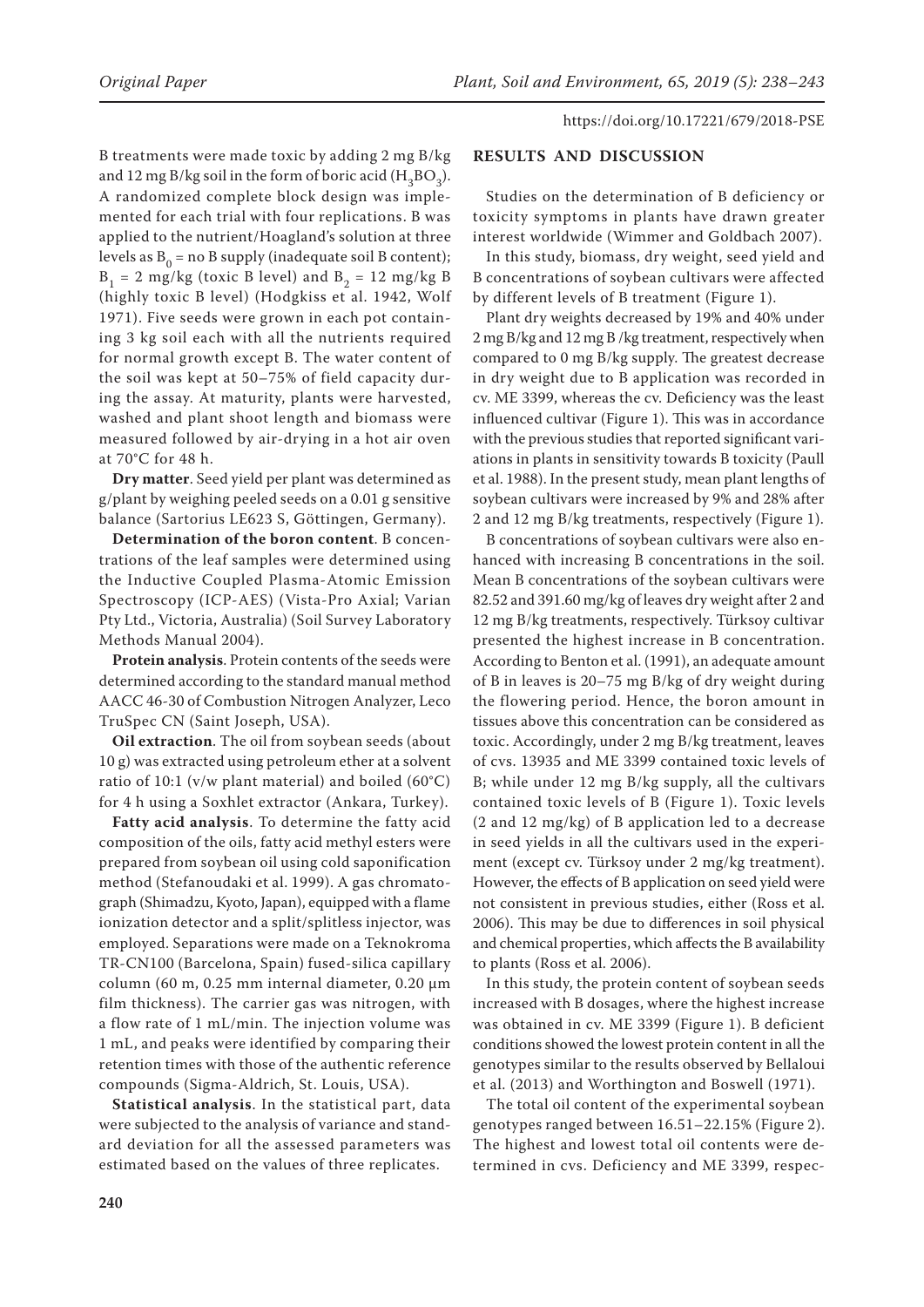B treatments were made toxic by adding 2 mg B/kg and 12 mg B/kg soil in the form of boric acid ( $H_3BO_3$ ). A randomized complete block design was implemented for each trial with four replications. B was applied to the nutrient/Hoagland's solution at three levels as  $B_0$  = no B supply (inadequate soil B content);  $B_1 = 2$  mg/kg (toxic B level) and  $B_2 = 12$  mg/kg B (highly toxic B level) (Hodgkiss et al. 1942, Wolf 1971). Five seeds were grown in each pot containing 3 kg soil each with all the nutrients required for normal growth except B. The water content of the soil was kept at 50–75% of field capacity during the assay. At maturity, plants were harvested, washed and plant shoot length and biomass were measured followed by air-drying in a hot air oven at 70°C for 48 h.

**Dry matter**. Seed yield per plant was determined as g/plant by weighing peeled seeds on a 0.01 g sensitive balance (Sartorius LE623 S, Göttingen, Germany).

**Determination of the boron content**. B concentrations of the leaf samples were determined using the Inductive Coupled Plasma-Atomic Emission Spectroscopy (ICP-AES) (Vista-Pro Axial; Varian Pty Ltd., Victoria, Australia) (Soil Survey Laboratory Methods Manual 2004).

**Protein analysis**. Protein contents of the seeds were determined according to the standard manual method AACC 46-30 of Combustion Nitrogen Analyzer, Leco TruSpec CN (Saint Joseph, USA).

**Oil extraction**. The oil from soybean seeds (about 10 g) was extracted using petroleum ether at a solvent ratio of 10:1 (v/w plant material) and boiled  $(60^{\circ}C)$ for 4 h using a Soxhlet extractor (Ankara, Turkey).

**Fatty acid analysis**. To determine the fatty acid composition of the oils, fatty acid methyl esters were prepared from soybean oil using cold saponification method (Stefanoudaki et al. 1999). A gas chromatograph (Shimadzu, Kyoto, Japan), equipped with a flame ionization detector and a split/splitless injector, was employed. Separations were made on a Teknokroma TR-CN100 (Barcelona, Spain) fused-silica capillary column (60 m, 0.25 mm internal diameter, 0.20  $\mu$ m film thickness). The carrier gas was nitrogen, with a flow rate of 1 mL/min. The injection volume was 1 mL, and peaks were identified by comparing their retention times with those of the authentic reference compounds (Sigma-Aldrich, St. Louis, USA).

**Statistical analysis**. In the statistical part, data were subjected to the analysis of variance and standard deviation for all the assessed parameters was estimated based on the values of three replicates.

## **RESULTS AND DISCUSSION**

Studies on the determination of B deficiency or toxicity symptoms in plants have drawn greater interest worldwide (Wimmer and Goldbach 2007).

In this study, biomass, dry weight, seed yield and B concentrations of soybean cultivars were affected by different levels of B treatment (Figure 1).

Plant dry weights decreased by 19% and 40% under 2 mg B/kg and 12 mg B /kg treatment, respectively when compared to 0 mg B/kg supply. The greatest decrease in dry weight due to B application was recorded in cv. ME 3399, whereas the cv. Deficiency was the least influenced cultivar (Figure 1). This was in accordance with the previous studies that reported significant variations in plants in sensitivity towards B toxicity (Paull et al. 1988). In the present study, mean plant lengths of soybean cultivars were increased by 9% and 28% after 2 and 12 mg B/kg treatments, respectively (Figure 1).

B concentrations of soybean cultivars were also enhanced with increasing B concentrations in the soil. Mean B concentrations of the soybean cultivars were 82.52 and 391.60 mg/kg of leaves dry weight after 2 and 12 mg B/kg treatments, respectively. Türksoy cultivar presented the highest increase in B concentration. According to Benton et al. (1991), an adequate amount of B in leaves is 20–75 mg B/kg of dry weight during the flowering period. Hence, the boron amount in tissues above this concentration can be considered as toxic. Accordingly, under 2 mg B/kg treatment, leaves of cvs. 13935 and ME 3399 contained toxic levels of B; while under 12 mg B/kg supply, all the cultivars contained toxic levels of B (Figure 1). Toxic levels (2 and 12 mg/kg) of B application led to a decrease in seed yields in all the cultivars used in the experiment (except cv. Türksoy under 2 mg/kg treatment). However, the effects of B application on seed yield were not consistent in previous studies, either (Ross et al. 2006). This may be due to differences in soil physical and chemical properties, which affects the B availability to plants (Ross et al. 2006).

In this study, the protein content of soybean seeds increased with B dosages, where the highest increase was obtained in cv. ME 3399 (Figure 1). B deficient conditions showed the lowest protein content in all the genotypes similar to the results observed by Bellaloui et al. (2013) and Worthington and Boswell (1971).

The total oil content of the experimental soybean genotypes ranged between 16.51–22.15% (Figure 2). The highest and lowest total oil contents were determined in cvs. Deficiency and ME 3399, respec-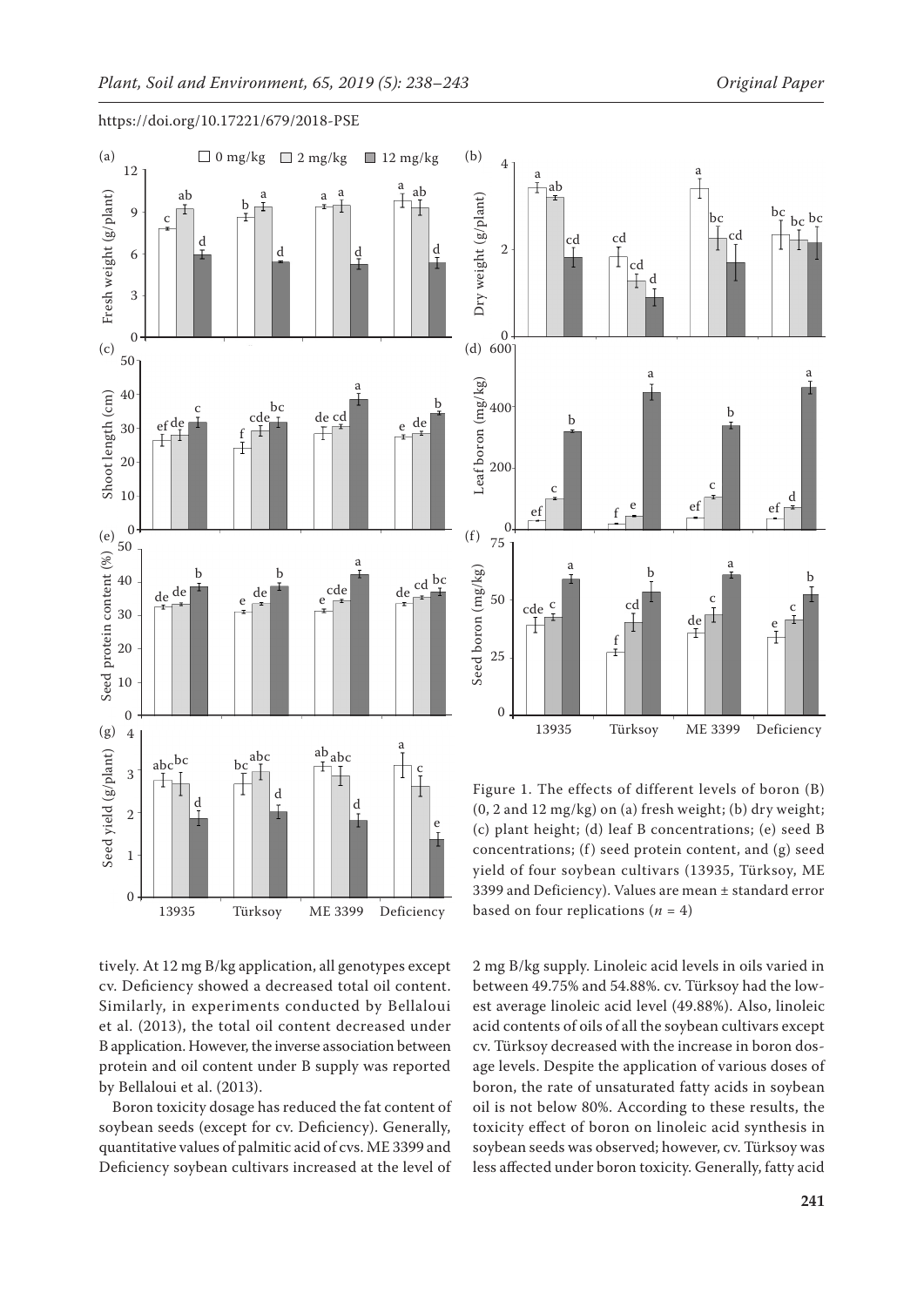





4

Figure 1. The effects of different levels of boron (B) (0, 2 and 12 mg/kg) on (a) fresh weight; (b) dry weight; (c) plant height; (d) leaf B concentrations; (e) seed B concentrations;  $(f)$  seed protein content, and  $(g)$  seed yield of four soybean cultivars (13935, Türksoy, ME 3399 and Deficiency). Values are mean ± standard error based on four replications  $(n = 4)$ 

tively. At 12 mg B/kg application, all genotypes except cv. Deficiency showed a decreased total oil content. Similarly, in experiments conducted by Bellaloui et al. (2013), the total oil content decreased under B application. However, the inverse association between protein and oil content under B supply was reported by Bellaloui et al. (2013).

Boron toxicity dosage has reduced the fat content of soybean seeds (except for cv. Deficiency). Generally, quantitative values of palmitic acid of cvs. ME 3399 and Deficiency soybean cultivars increased at the level of

2 mg B/kg supply. Linoleic acid levels in oils varied in between 49.75% and 54.88%. cv. Türksoy had the lowest average linoleic acid level (49.88%). Also, linoleic acid contents of oils of all the soybean cultivars except cv. Türksoy decreased with the increase in boron dosage levels. Despite the application of various doses of boron, the rate of unsaturated fatty acids in soybean oil is not below 80%. According to these results, the toxicity effect of boron on linoleic acid synthesis in soybean seeds was observed; however, cv. Türksoy was less affected under boron toxicity. Generally, fatty acid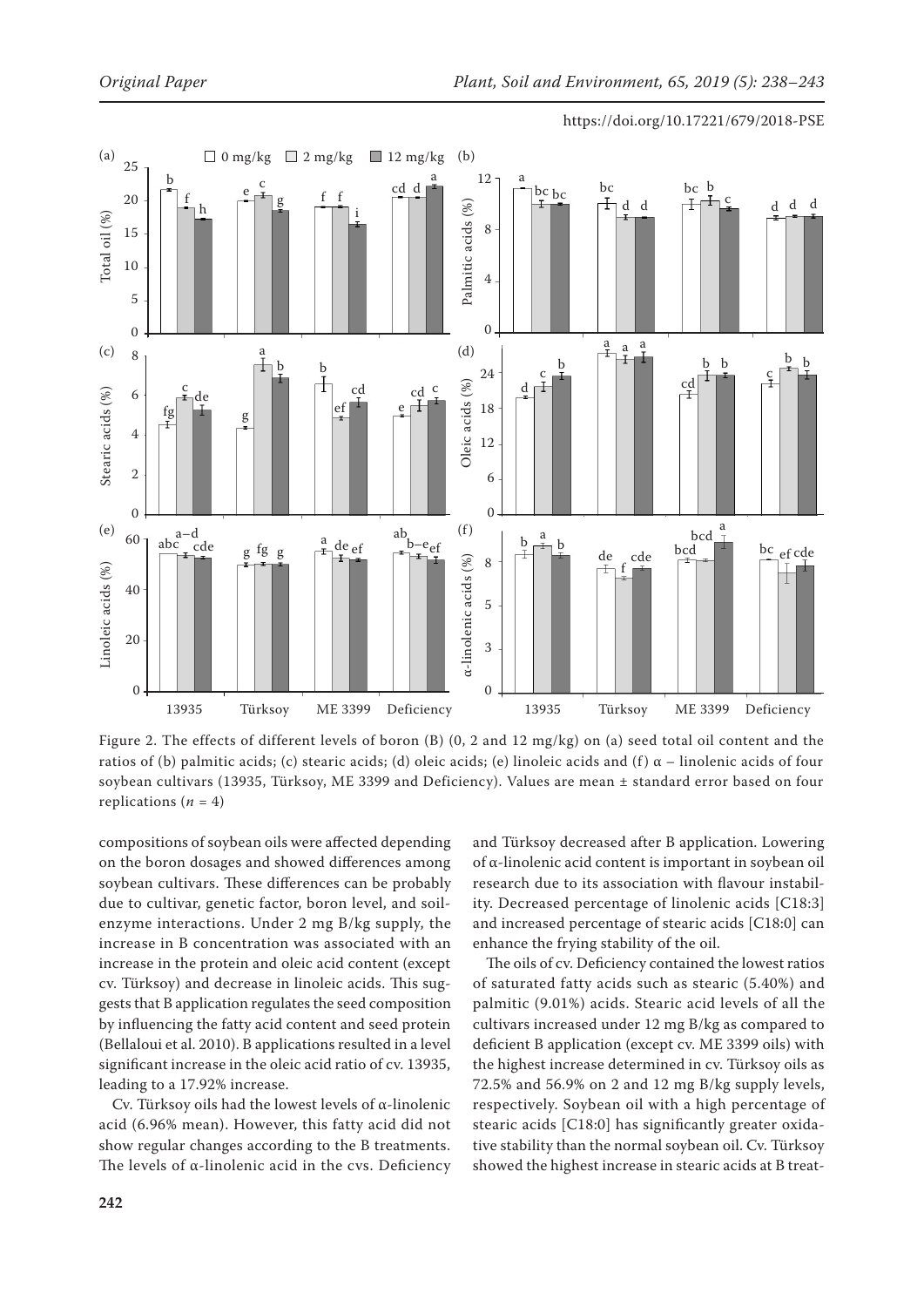

Figure 2. The effects of different levels of boron (B) (0, 2 and 12 mg/kg) on (a) seed total oil content and the ratios of (b) palmitic acids; (c) stearic acids; (d) oleic acids; (e) linoleic acids and (f)  $\alpha$  – linolenic acids of four soybean cultivars (13935, Türksoy, ME 3399 and Deficiency). Values are mean ± standard error based on four replications  $(n = 4)$ 

compositions of soybean oils were affected depending on the boron dosages and showed differences among soybean cultivars. These differences can be probably due to cultivar, genetic factor, boron level, and soilenzyme interactions. Under 2 mg B/kg supply, the increase in B concentration was associated with an increase in the protein and oleic acid content (except cv. Türksoy) and decrease in linoleic acids. This suggests that B application regulates the seed composition by influencing the fatty acid content and seed protein (Bellaloui et al. 2010). B applications resulted in a level significant increase in the oleic acid ratio of cv. 13935, leading to a 17.92% increase.

Cv. Türksoy oils had the lowest levels of α-linolenic acid (6.96% mean). However, this fatty acid did not show regular changes according to the B treatments. The levels of α-linolenic acid in the cvs. Deficiency and Türksoy decreased after B application. Lowering of α-linolenic acid content is important in soybean oil research due to its association with flavour instability. Decreased percentage of linolenic acids [C18:3] and increased percentage of stearic acids [C18:0] can enhance the frying stability of the oil.

The oils of cv. Deficiency contained the lowest ratios of saturated fatty acids such as stearic (5.40%) and palmitic (9.01%) acids. Stearic acid levels of all the cultivars increased under 12 mg B/kg as compared to deficient B application (except cv. ME 3399 oils) with the highest increase determined in cv. Türksoy oils as 72.5% and 56.9% on 2 and 12 mg B/kg supply levels, respectively. Soybean oil with a high percentage of stearic acids [C18:0] has significantly greater oxidative stability than the normal soybean oil. Cv. Türksoy showed the highest increase in stearic acids at B treat-